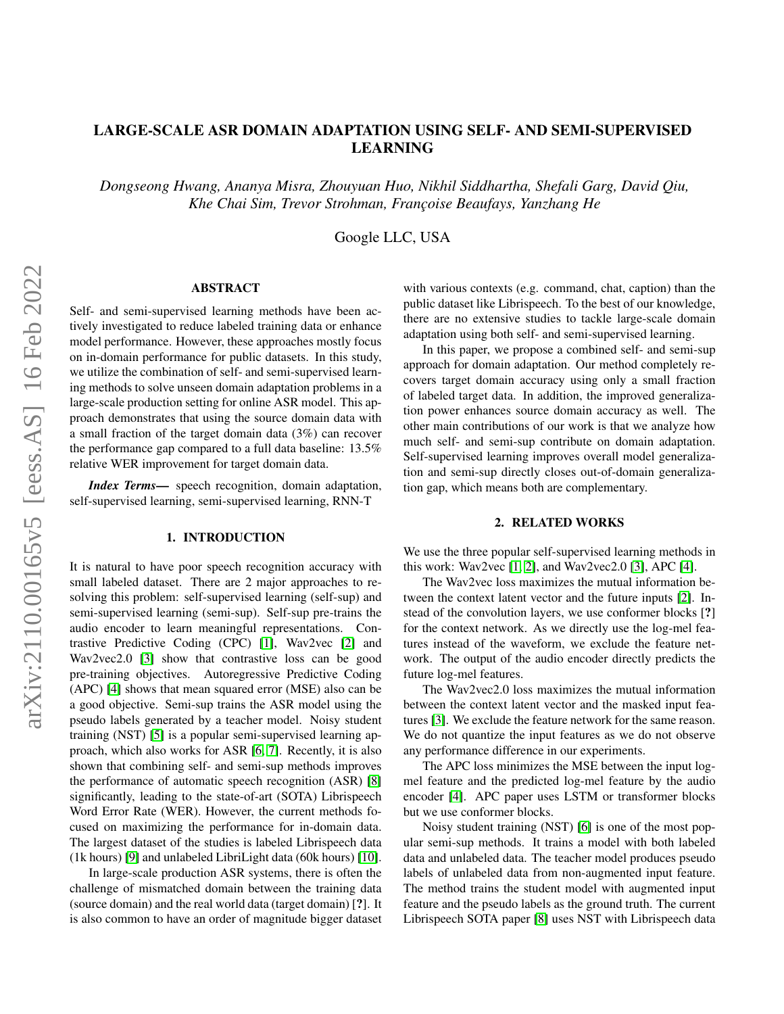# LARGE-SCALE ASR DOMAIN ADAPTATION USING SELF- AND SEMI-SUPERVISED LEARNING

*Dongseong Hwang, Ananya Misra, Zhouyuan Huo, Nikhil Siddhartha, Shefali Garg, David Qiu, Khe Chai Sim, Trevor Strohman, Franc¸oise Beaufays, Yanzhang He*

Google LLC, USA

# ABSTRACT

Self- and semi-supervised learning methods have been actively investigated to reduce labeled training data or enhance model performance. However, these approaches mostly focus on in-domain performance for public datasets. In this study, we utilize the combination of self- and semi-supervised learning methods to solve unseen domain adaptation problems in a large-scale production setting for online ASR model. This approach demonstrates that using the source domain data with a small fraction of the target domain data (3%) can recover the performance gap compared to a full data baseline: 13.5% relative WER improvement for target domain data.

*Index Terms*— speech recognition, domain adaptation, self-supervised learning, semi-supervised learning, RNN-T

### 1. INTRODUCTION

It is natural to have poor speech recognition accuracy with small labeled dataset. There are 2 major approaches to resolving this problem: self-supervised learning (self-sup) and semi-supervised learning (semi-sup). Self-sup pre-trains the audio encoder to learn meaningful representations. Contrastive Predictive Coding (CPC) [\[1\]](#page-4-0), Wav2vec [\[2\]](#page-4-1) and Wav2vec2.0 [\[3\]](#page-4-2) show that contrastive loss can be good pre-training objectives. Autoregressive Predictive Coding (APC) [\[4\]](#page-4-3) shows that mean squared error (MSE) also can be a good objective. Semi-sup trains the ASR model using the pseudo labels generated by a teacher model. Noisy student training (NST) [\[5\]](#page-4-4) is a popular semi-supervised learning approach, which also works for ASR [\[6,](#page-4-5) [7\]](#page-4-6). Recently, it is also shown that combining self- and semi-sup methods improves the performance of automatic speech recognition (ASR) [\[8\]](#page-4-7) significantly, leading to the state-of-art (SOTA) Librispeech Word Error Rate (WER). However, the current methods focused on maximizing the performance for in-domain data. The largest dataset of the studies is labeled Librispeech data (1k hours) [\[9\]](#page-4-8) and unlabeled LibriLight data (60k hours) [\[10\]](#page-4-9).

In large-scale production ASR systems, there is often the challenge of mismatched domain between the training data (source domain) and the real world data (target domain) [?]. It is also common to have an order of magnitude bigger dataset

with various contexts (e.g. command, chat, caption) than the public dataset like Librispeech. To the best of our knowledge, there are no extensive studies to tackle large-scale domain adaptation using both self- and semi-supervised learning.

In this paper, we propose a combined self- and semi-sup approach for domain adaptation. Our method completely recovers target domain accuracy using only a small fraction of labeled target data. In addition, the improved generalization power enhances source domain accuracy as well. The other main contributions of our work is that we analyze how much self- and semi-sup contribute on domain adaptation. Self-supervised learning improves overall model generalization and semi-sup directly closes out-of-domain generalization gap, which means both are complementary.

#### 2. RELATED WORKS

We use the three popular self-supervised learning methods in this work: Wav2vec  $[1, 2]$  $[1, 2]$ , and Wav2vec2.0  $[3]$ , APC  $[4]$ .

The Wav2vec loss maximizes the mutual information between the context latent vector and the future inputs [\[2\]](#page-4-1). Instead of the convolution layers, we use conformer blocks [?] for the context network. As we directly use the log-mel features instead of the waveform, we exclude the feature network. The output of the audio encoder directly predicts the future log-mel features.

The Wav2vec2.0 loss maximizes the mutual information between the context latent vector and the masked input features [\[3\]](#page-4-2). We exclude the feature network for the same reason. We do not quantize the input features as we do not observe any performance difference in our experiments.

The APC loss minimizes the MSE between the input logmel feature and the predicted log-mel feature by the audio encoder [\[4\]](#page-4-3). APC paper uses LSTM or transformer blocks but we use conformer blocks.

Noisy student training (NST) [\[6\]](#page-4-5) is one of the most popular semi-sup methods. It trains a model with both labeled data and unlabeled data. The teacher model produces pseudo labels of unlabeled data from non-augmented input feature. The method trains the student model with augmented input feature and the pseudo labels as the ground truth. The current Librispeech SOTA paper [\[8\]](#page-4-7) uses NST with Librispeech data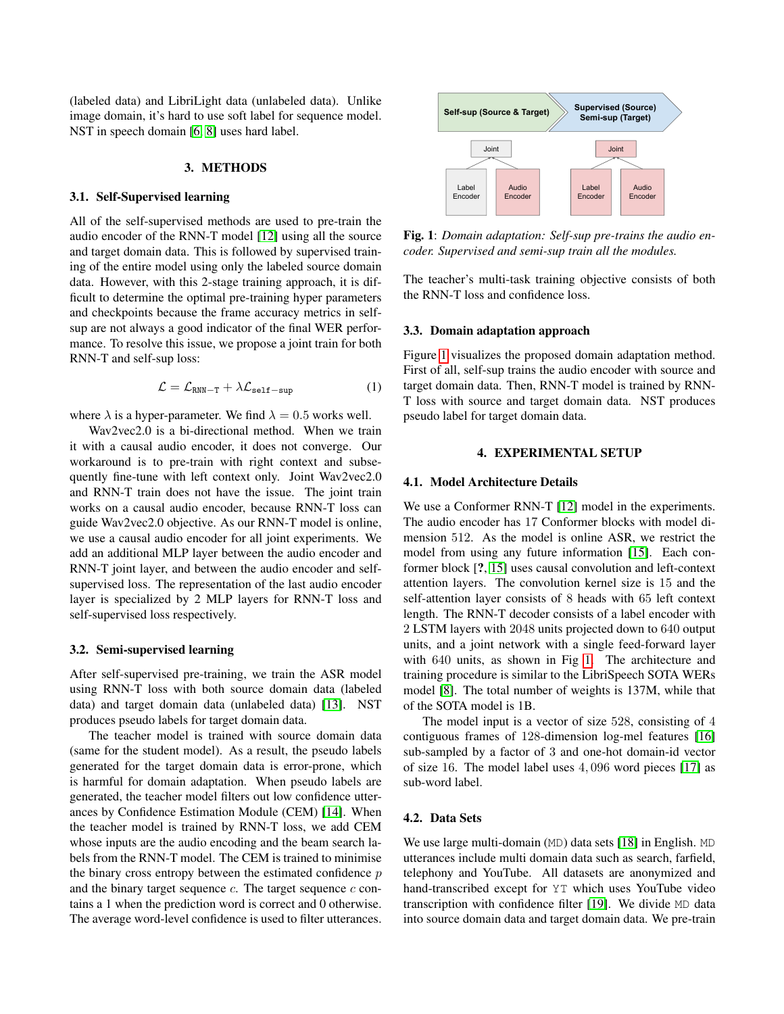(labeled data) and LibriLight data (unlabeled data). Unlike image domain, it's hard to use soft label for sequence model. NST in speech domain [\[6,](#page-4-5) [8\]](#page-4-7) uses hard label.

## 3. METHODS

### 3.1. Self-Supervised learning

All of the self-supervised methods are used to pre-train the audio encoder of the RNN-T model [\[12\]](#page-4-10) using all the source and target domain data. This is followed by supervised training of the entire model using only the labeled source domain data. However, with this 2-stage training approach, it is difficult to determine the optimal pre-training hyper parameters and checkpoints because the frame accuracy metrics in selfsup are not always a good indicator of the final WER performance. To resolve this issue, we propose a joint train for both RNN-T and self-sup loss:

$$
\mathcal{L} = \mathcal{L}_{RNN-T} + \lambda \mathcal{L}_{\text{self-sup}} \tag{1}
$$

where  $\lambda$  is a hyper-parameter. We find  $\lambda = 0.5$  works well.

Wav2vec2.0 is a bi-directional method. When we train it with a causal audio encoder, it does not converge. Our workaround is to pre-train with right context and subsequently fine-tune with left context only. Joint Wav2vec2.0 and RNN-T train does not have the issue. The joint train works on a causal audio encoder, because RNN-T loss can guide Wav2vec2.0 objective. As our RNN-T model is online, we use a causal audio encoder for all joint experiments. We add an additional MLP layer between the audio encoder and RNN-T joint layer, and between the audio encoder and selfsupervised loss. The representation of the last audio encoder layer is specialized by 2 MLP layers for RNN-T loss and self-supervised loss respectively.

#### 3.2. Semi-supervised learning

After self-supervised pre-training, we train the ASR model using RNN-T loss with both source domain data (labeled data) and target domain data (unlabeled data) [\[13\]](#page-4-11). NST produces pseudo labels for target domain data.

The teacher model is trained with source domain data (same for the student model). As a result, the pseudo labels generated for the target domain data is error-prone, which is harmful for domain adaptation. When pseudo labels are generated, the teacher model filters out low confidence utterances by Confidence Estimation Module (CEM) [\[14\]](#page-4-12). When the teacher model is trained by RNN-T loss, we add CEM whose inputs are the audio encoding and the beam search labels from the RNN-T model. The CEM is trained to minimise the binary cross entropy between the estimated confidence  $p$ and the binary target sequence  $c$ . The target sequence  $c$  contains a 1 when the prediction word is correct and 0 otherwise. The average word-level confidence is used to filter utterances.

<span id="page-1-0"></span>

Fig. 1: *Domain adaptation: Self-sup pre-trains the audio encoder. Supervised and semi-sup train all the modules.*

The teacher's multi-task training objective consists of both the RNN-T loss and confidence loss.

### 3.3. Domain adaptation approach

Figure [1](#page-1-0) visualizes the proposed domain adaptation method. First of all, self-sup trains the audio encoder with source and target domain data. Then, RNN-T model is trained by RNN-T loss with source and target domain data. NST produces pseudo label for target domain data.

#### 4. EXPERIMENTAL SETUP

#### 4.1. Model Architecture Details

We use a Conformer RNN-T [\[12\]](#page-4-10) model in the experiments. The audio encoder has 17 Conformer blocks with model dimension 512. As the model is online ASR, we restrict the model from using any future information [\[15\]](#page-4-13). Each conformer block [?, [15\]](#page-4-13) uses causal convolution and left-context attention layers. The convolution kernel size is 15 and the self-attention layer consists of 8 heads with 65 left context length. The RNN-T decoder consists of a label encoder with 2 LSTM layers with 2048 units projected down to 640 output units, and a joint network with a single feed-forward layer with 640 units, as shown in Fig [1.](#page-1-0) The architecture and training procedure is similar to the LibriSpeech SOTA WERs model [\[8\]](#page-4-7). The total number of weights is 137M, while that of the SOTA model is 1B.

The model input is a vector of size 528, consisting of 4 contiguous frames of 128-dimension log-mel features [\[16\]](#page-4-14) sub-sampled by a factor of 3 and one-hot domain-id vector of size 16. The model label uses 4, 096 word pieces [\[17\]](#page-4-15) as sub-word label.

### 4.2. Data Sets

We use large multi-domain (MD) data sets [\[18\]](#page-4-16) in English. MD utterances include multi domain data such as search, farfield, telephony and YouTube. All datasets are anonymized and hand-transcribed except for YT which uses YouTube video transcription with confidence filter [\[19\]](#page-4-17). We divide MD data into source domain data and target domain data. We pre-train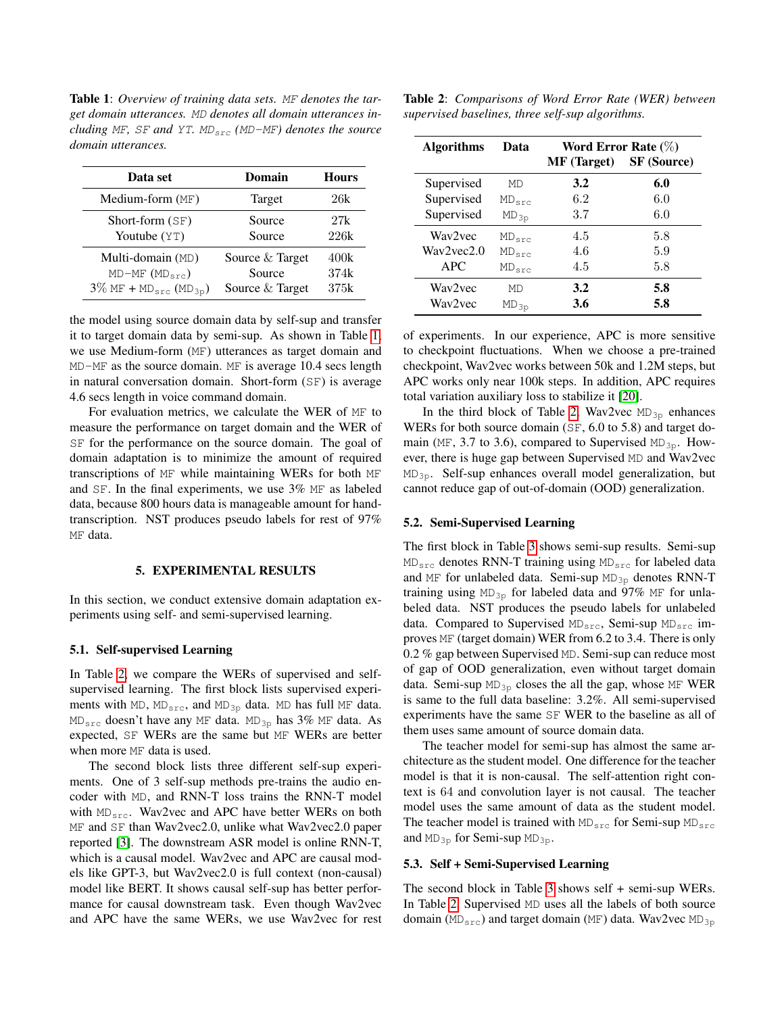<span id="page-2-0"></span>Table 1: *Overview of training data sets.* MF *denotes the target domain utterances.* MD *denotes all domain utterances including* MF, SF and YT.  $MD_{src}$  (MD-MF) denotes the source *domain utterances.*

| Data set                                         | Domain          | <b>Hours</b> |
|--------------------------------------------------|-----------------|--------------|
| Medium-form (MF)                                 | Target          | 26k          |
| Short-form $(SF)$                                | Source          | 27k          |
| Youtube (YT)                                     | Source          | 226k         |
| Multi-domain (MD)                                | Source & Target | 400k         |
| $MD-MF (MDsrc)$                                  | Source          | 374k         |
| $3\%$ MF + MD <sub>src</sub> (MD <sub>3p</sub> ) | Source & Target | 375k         |

the model using source domain data by self-sup and transfer it to target domain data by semi-sup. As shown in Table [1,](#page-2-0) we use Medium-form (MF) utterances as target domain and MD-MF as the source domain. MF is average 10.4 secs length in natural conversation domain. Short-form (SF) is average 4.6 secs length in voice command domain.

For evaluation metrics, we calculate the WER of MF to measure the performance on target domain and the WER of SF for the performance on the source domain. The goal of domain adaptation is to minimize the amount of required transcriptions of MF while maintaining WERs for both MF and SF. In the final experiments, we use 3% MF as labeled data, because 800 hours data is manageable amount for handtranscription. NST produces pseudo labels for rest of 97% MF data.

#### 5. EXPERIMENTAL RESULTS

In this section, we conduct extensive domain adaptation experiments using self- and semi-supervised learning.

#### <span id="page-2-2"></span>5.1. Self-supervised Learning

In Table [2,](#page-2-1) we compare the WERs of supervised and selfsupervised learning. The first block lists supervised experiments with MD,  $MD_{src}$ , and  $MD_{3p}$  data. MD has full MF data. MDsrc doesn't have any MF data. MD3p has 3% MF data. As expected, SF WERs are the same but MF WERs are better when more MF data is used.

The second block lists three different self-sup experiments. One of 3 self-sup methods pre-trains the audio encoder with MD, and RNN-T loss trains the RNN-T model with  $MD_{src}$ . Wav2vec and APC have better WERs on both MF and SF than Wav2vec2.0, unlike what Wav2vec2.0 paper reported [\[3\]](#page-4-2). The downstream ASR model is online RNN-T, which is a causal model. Wav2vec and APC are causal models like GPT-3, but Wav2vec2.0 is full context (non-causal) model like BERT. It shows causal self-sup has better performance for causal downstream task. Even though Wav2vec and APC have the same WERs, we use Wav2vec for rest

<span id="page-2-1"></span>

| Table 2: Comparisons of Word Error Rate (WER) between |  |  |
|-------------------------------------------------------|--|--|
| supervised baselines, three self-sup algorithms.      |  |  |

| <b>Algorithms</b> | Data       | Word Error Rate $(\%)$ |                    |  |
|-------------------|------------|------------------------|--------------------|--|
|                   |            | <b>MF</b> (Target)     | <b>SF</b> (Source) |  |
| Supervised        | MD         | 3.2                    | 6.0                |  |
| Supervised        | $MD_{src}$ | 6.2                    | 6.0                |  |
| Supervised        | $MD_{3p}$  | 3.7                    | 6.0                |  |
| Way2yec           | $MD_{src}$ | 4.5                    | 5.8                |  |
| Wav2yec2.0        | $MD_{src}$ | 4.6                    | 5.9                |  |
| APC               | $MD_{src}$ | 4.5                    | 5.8                |  |
| Way2yec           | MD         | 3.2                    | 5.8                |  |
| Wav2vec           | $MD_{3p}$  | 3.6                    | 5.8                |  |

of experiments. In our experience, APC is more sensitive to checkpoint fluctuations. When we choose a pre-trained checkpoint, Wav2vec works between 50k and 1.2M steps, but APC works only near 100k steps. In addition, APC requires total variation auxiliary loss to stabilize it [\[20\]](#page-4-18).

In the third block of Table [2,](#page-2-1) Wav2vec  $MD_{3p}$  enhances WERs for both source domain (SF, 6.0 to 5.8) and target domain (MF, 3.7 to 3.6), compared to Supervised MD<sub>3p</sub>. However, there is huge gap between Supervised MD and Wav2vec  $MD_{3p}$ . Self-sup enhances overall model generalization, but cannot reduce gap of out-of-domain (OOD) generalization.

#### <span id="page-2-3"></span>5.2. Semi-Supervised Learning

The first block in Table [3](#page-3-0) shows semi-sup results. Semi-sup MDsrc denotes RNN-T training using MDsrc for labeled data and MF for unlabeled data. Semi-sup  $MD_{3p}$  denotes RNN-T training using  $MD_{3p}$  for labeled data and 97% MF for unlabeled data. NST produces the pseudo labels for unlabeled data. Compared to Supervised MD<sub>src</sub>, Semi-sup MD<sub>src</sub> improves MF (target domain) WER from 6.2 to 3.4. There is only 0.2 % gap between Supervised MD. Semi-sup can reduce most of gap of OOD generalization, even without target domain data. Semi-sup  $MD_{3p}$  closes the all the gap, whose MF WER is same to the full data baseline: 3.2%. All semi-supervised experiments have the same SF WER to the baseline as all of them uses same amount of source domain data.

The teacher model for semi-sup has almost the same architecture as the student model. One difference for the teacher model is that it is non-causal. The self-attention right context is 64 and convolution layer is not causal. The teacher model uses the same amount of data as the student model. The teacher model is trained with  $MD_{src}$  for Semi-sup  $MD_{src}$ and  $MD_{3p}$  for Semi-sup  $MD_{3p}$ .

#### 5.3. Self + Semi-Supervised Learning

The second block in Table [3](#page-3-0) shows self + semi-sup WERs. In Table [2,](#page-2-1) Supervised MD uses all the labels of both source domain ( $MD_{src}$ ) and target domain (MF) data. Wav2vec MD<sub>3p</sub>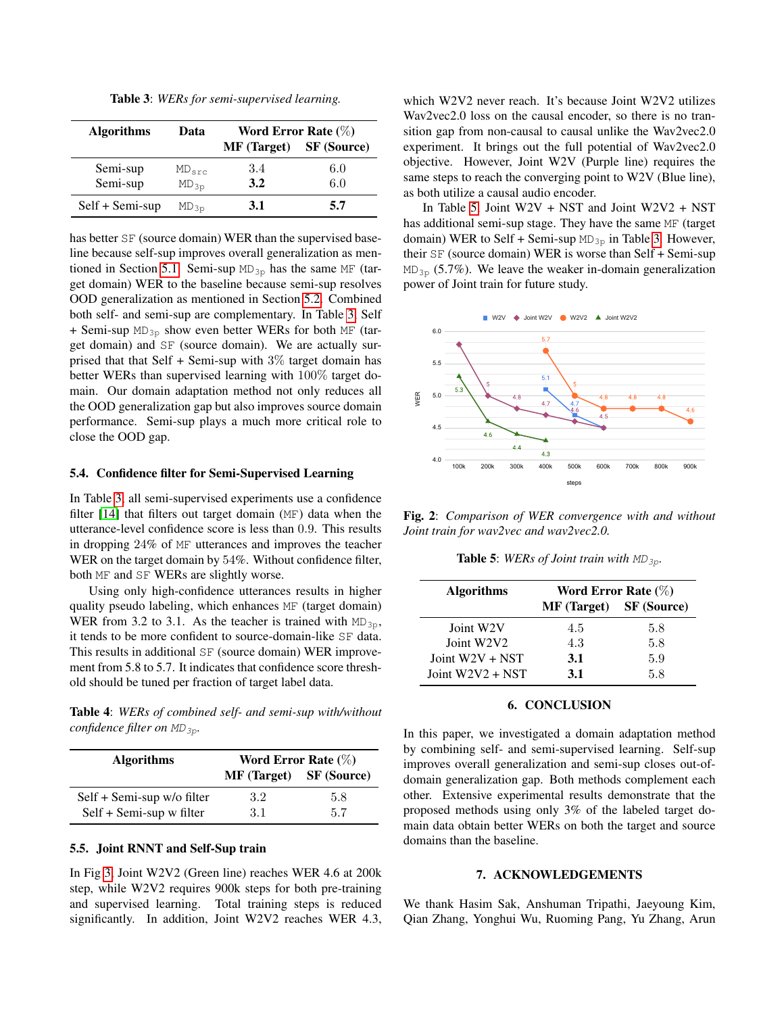Table 3: *WERs for semi-supervised learning.*

<span id="page-3-0"></span>

| <b>Algorithms</b> | Data       | Word Error Rate $(\%)$ |                    |  |
|-------------------|------------|------------------------|--------------------|--|
|                   |            | <b>MF</b> (Target)     | <b>SF</b> (Source) |  |
| Semi-sup          | $MD_{src}$ | 3.4                    | 6.0                |  |
| Semi-sup          | $MD_{3p}$  | 3.2                    | 6.0                |  |
| Self + Semi-sup   | $MD_{3p}$  | <b>3.1</b>             | 5.7                |  |

has better SF (source domain) WER than the supervised baseline because self-sup improves overall generalization as men-tioned in Section [5.1.](#page-2-2) Semi-sup  $MD_{3p}$  has the same MF (target domain) WER to the baseline because semi-sup resolves OOD generalization as mentioned in Section [5.2.](#page-2-3) Combined both self- and semi-sup are complementary. In Table [3,](#page-3-0) Self + Semi-sup  $MD_{3p}$  show even better WERs for both MF (target domain) and SF (source domain). We are actually surprised that that Self  $+$  Semi-sup with 3% target domain has better WERs than supervised learning with 100% target domain. Our domain adaptation method not only reduces all the OOD generalization gap but also improves source domain performance. Semi-sup plays a much more critical role to close the OOD gap.

### 5.4. Confidence filter for Semi-Supervised Learning

In Table [3,](#page-3-0) all semi-supervised experiments use a confidence filter [\[14\]](#page-4-12) that filters out target domain (MF) data when the utterance-level confidence score is less than 0.9. This results in dropping 24% of MF utterances and improves the teacher WER on the target domain by 54%. Without confidence filter, both MF and SF WERs are slightly worse.

Using only high-confidence utterances results in higher quality pseudo labeling, which enhances MF (target domain) WER from 3.2 to 3.1. As the teacher is trained with  $MD_{3p}$ , it tends to be more confident to source-domain-like SF data. This results in additional SF (source domain) WER improvement from 5.8 to 5.7. It indicates that confidence score threshold should be tuned per fraction of target label data.

Table 4: *WERs of combined self- and semi-sup with/without confidence filter on*  $MD_{3p}$ *.* 

| <b>Algorithms</b>          | Word Error Rate $(\%)$         |     |
|----------------------------|--------------------------------|-----|
|                            | <b>MF (Target)</b> SF (Source) |     |
| Self + Semi-sup w/o filter | 3.2                            | 5.8 |
| Self + Semi-sup w filter   | 3.1                            | 5.7 |

### 5.5. Joint RNNT and Self-Sup train

In Fig [3,](#page-5-0) Joint W2V2 (Green line) reaches WER 4.6 at 200k step, while W2V2 requires 900k steps for both pre-training and supervised learning. Total training steps is reduced significantly. In addition, Joint W2V2 reaches WER 4.3,

which W2V2 never reach. It's because Joint W2V2 utilizes Wav2vec2.0 loss on the causal encoder, so there is no transition gap from non-causal to causal unlike the Wav2vec2.0 experiment. It brings out the full potential of Wav2vec2.0 objective. However, Joint W2V (Purple line) requires the same steps to reach the converging point to W2V (Blue line), as both utilize a causal audio encoder.

In Table [5,](#page-3-1) Joint  $W2V + NST$  and Joint  $W2V2 + NST$ has additional semi-sup stage. They have the same MF (target domain) WER to Self + Semi-sup  $MD_{3p}$  in Table [3.](#page-3-0) However, their SF (source domain) WER is worse than Self + Semi-sup  $MD_{3p}$  (5.7%). We leave the weaker in-domain generalization power of Joint train for future study.



<span id="page-3-1"></span>Fig. 2: *Comparison of WER convergence with and without Joint train for wav2vec and wav2vec2.0.*

**Table 5:** *WERs of Joint train with*  $MD_{3p}$ *.* 

| <b>Algorithms</b>      | Word Error Rate $(\%)$                |     |  |
|------------------------|---------------------------------------|-----|--|
|                        | <b>MF</b> (Target) <b>SF</b> (Source) |     |  |
| Joint W <sub>2</sub> V | 4.5                                   | 5.8 |  |
| Joint W2V2             | 4.3                                   | 5.8 |  |
| Joint $W2V + NSF$      | 3.1                                   | 5.9 |  |
| Joint $W2V2 + NSF$     | 3.1                                   | 58  |  |

#### 6. CONCLUSION

In this paper, we investigated a domain adaptation method by combining self- and semi-supervised learning. Self-sup improves overall generalization and semi-sup closes out-ofdomain generalization gap. Both methods complement each other. Extensive experimental results demonstrate that the proposed methods using only 3% of the labeled target domain data obtain better WERs on both the target and source domains than the baseline.

#### 7. ACKNOWLEDGEMENTS

We thank Hasim Sak, Anshuman Tripathi, Jaeyoung Kim, Qian Zhang, Yonghui Wu, Ruoming Pang, Yu Zhang, Arun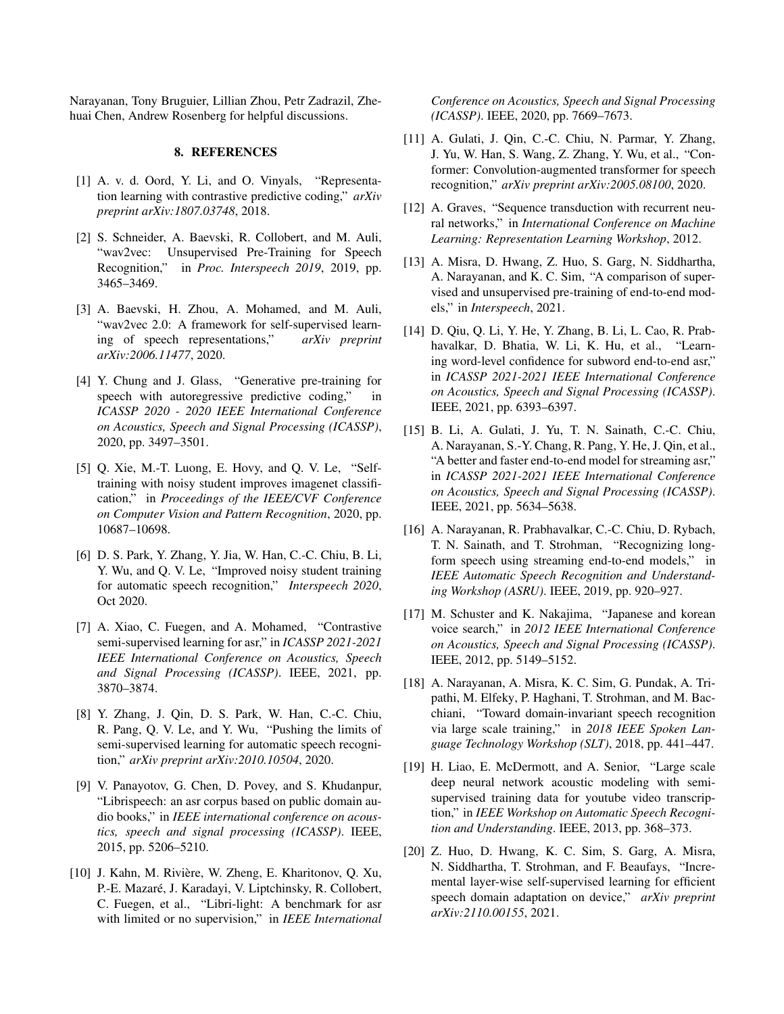Narayanan, Tony Bruguier, Lillian Zhou, Petr Zadrazil, Zhehuai Chen, Andrew Rosenberg for helpful discussions.

#### 8. REFERENCES

- <span id="page-4-0"></span>[1] A. v. d. Oord, Y. Li, and O. Vinyals, "Representation learning with contrastive predictive coding," *arXiv preprint arXiv:1807.03748*, 2018.
- <span id="page-4-1"></span>[2] S. Schneider, A. Baevski, R. Collobert, and M. Auli, "wav2vec: Unsupervised Pre-Training for Speech Recognition," in *Proc. Interspeech 2019*, 2019, pp. 3465–3469.
- <span id="page-4-2"></span>[3] A. Baevski, H. Zhou, A. Mohamed, and M. Auli, "wav2vec 2.0: A framework for self-supervised learning of speech representations," *arXiv preprint arXiv:2006.11477*, 2020.
- <span id="page-4-3"></span>[4] Y. Chung and J. Glass, "Generative pre-training for speech with autoregressive predictive coding," in *ICASSP 2020 - 2020 IEEE International Conference on Acoustics, Speech and Signal Processing (ICASSP)*, 2020, pp. 3497–3501.
- <span id="page-4-4"></span>[5] Q. Xie, M.-T. Luong, E. Hovy, and Q. V. Le, "Selftraining with noisy student improves imagenet classification," in *Proceedings of the IEEE/CVF Conference on Computer Vision and Pattern Recognition*, 2020, pp. 10687–10698.
- <span id="page-4-5"></span>[6] D. S. Park, Y. Zhang, Y. Jia, W. Han, C.-C. Chiu, B. Li, Y. Wu, and Q. V. Le, "Improved noisy student training for automatic speech recognition," *Interspeech 2020*, Oct 2020.
- <span id="page-4-6"></span>[7] A. Xiao, C. Fuegen, and A. Mohamed, "Contrastive semi-supervised learning for asr," in *ICASSP 2021-2021 IEEE International Conference on Acoustics, Speech and Signal Processing (ICASSP)*. IEEE, 2021, pp. 3870–3874.
- <span id="page-4-7"></span>[8] Y. Zhang, J. Qin, D. S. Park, W. Han, C.-C. Chiu, R. Pang, Q. V. Le, and Y. Wu, "Pushing the limits of semi-supervised learning for automatic speech recognition," *arXiv preprint arXiv:2010.10504*, 2020.
- <span id="page-4-8"></span>[9] V. Panayotov, G. Chen, D. Povey, and S. Khudanpur, "Librispeech: an asr corpus based on public domain audio books," in *IEEE international conference on acoustics, speech and signal processing (ICASSP)*. IEEE, 2015, pp. 5206–5210.
- <span id="page-4-9"></span>[10] J. Kahn, M. Rivière, W. Zheng, E. Kharitonov, Q. Xu, P.-E. Mazaré, J. Karadayi, V. Liptchinsky, R. Collobert, C. Fuegen, et al., "Libri-light: A benchmark for asr with limited or no supervision," in *IEEE International*

*Conference on Acoustics, Speech and Signal Processing (ICASSP)*. IEEE, 2020, pp. 7669–7673.

- [11] A. Gulati, J. Qin, C.-C. Chiu, N. Parmar, Y. Zhang, J. Yu, W. Han, S. Wang, Z. Zhang, Y. Wu, et al., "Conformer: Convolution-augmented transformer for speech recognition," *arXiv preprint arXiv:2005.08100*, 2020.
- <span id="page-4-10"></span>[12] A. Graves, "Sequence transduction with recurrent neural networks," in *International Conference on Machine Learning: Representation Learning Workshop*, 2012.
- <span id="page-4-11"></span>[13] A. Misra, D. Hwang, Z. Huo, S. Garg, N. Siddhartha, A. Narayanan, and K. C. Sim, "A comparison of supervised and unsupervised pre-training of end-to-end models," in *Interspeech*, 2021.
- <span id="page-4-12"></span>[14] D. Qiu, Q. Li, Y. He, Y. Zhang, B. Li, L. Cao, R. Prabhavalkar, D. Bhatia, W. Li, K. Hu, et al., "Learning word-level confidence for subword end-to-end asr," in *ICASSP 2021-2021 IEEE International Conference on Acoustics, Speech and Signal Processing (ICASSP)*. IEEE, 2021, pp. 6393–6397.
- <span id="page-4-13"></span>[15] B. Li, A. Gulati, J. Yu, T. N. Sainath, C.-C. Chiu, A. Narayanan, S.-Y. Chang, R. Pang, Y. He, J. Qin, et al., "A better and faster end-to-end model for streaming asr," in *ICASSP 2021-2021 IEEE International Conference on Acoustics, Speech and Signal Processing (ICASSP)*. IEEE, 2021, pp. 5634–5638.
- <span id="page-4-14"></span>[16] A. Narayanan, R. Prabhavalkar, C.-C. Chiu, D. Rybach, T. N. Sainath, and T. Strohman, "Recognizing longform speech using streaming end-to-end models," in *IEEE Automatic Speech Recognition and Understanding Workshop (ASRU)*. IEEE, 2019, pp. 920–927.
- <span id="page-4-15"></span>[17] M. Schuster and K. Nakajima, "Japanese and korean voice search," in *2012 IEEE International Conference on Acoustics, Speech and Signal Processing (ICASSP)*. IEEE, 2012, pp. 5149–5152.
- <span id="page-4-16"></span>[18] A. Narayanan, A. Misra, K. C. Sim, G. Pundak, A. Tripathi, M. Elfeky, P. Haghani, T. Strohman, and M. Bacchiani, "Toward domain-invariant speech recognition via large scale training," in *2018 IEEE Spoken Language Technology Workshop (SLT)*, 2018, pp. 441–447.
- <span id="page-4-17"></span>[19] H. Liao, E. McDermott, and A. Senior, "Large scale deep neural network acoustic modeling with semisupervised training data for youtube video transcription," in *IEEE Workshop on Automatic Speech Recognition and Understanding*. IEEE, 2013, pp. 368–373.
- <span id="page-4-18"></span>[20] Z. Huo, D. Hwang, K. C. Sim, S. Garg, A. Misra, N. Siddhartha, T. Strohman, and F. Beaufays, "Incremental layer-wise self-supervised learning for efficient speech domain adaptation on device," *arXiv preprint arXiv:2110.00155*, 2021.